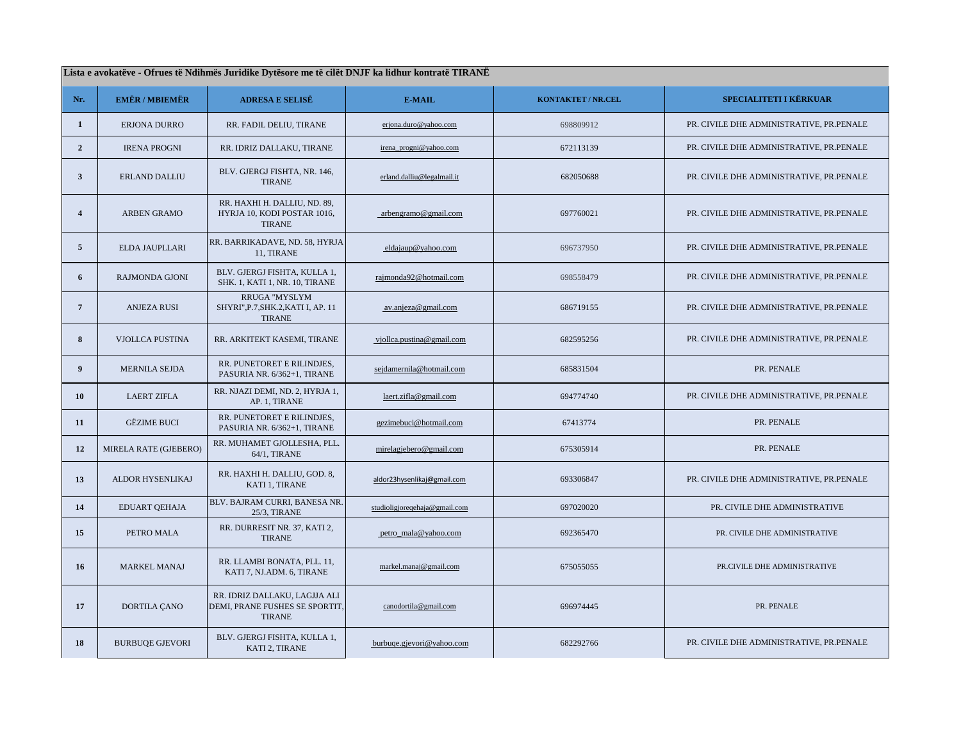| Lista e avokatëve - Ofrues të Ndihmës Juridike Dytësore me të cilët DNJF ka lidhur kontratë TIRANË |                        |                                                                                 |                               |                    |                                          |
|----------------------------------------------------------------------------------------------------|------------------------|---------------------------------------------------------------------------------|-------------------------------|--------------------|------------------------------------------|
| Nr.                                                                                                | <b>EMËR / MBIEMËR</b>  | <b>ADRESA E SELISË</b>                                                          | E-MAIL                        | KONTAKTET / NR.CEL | SPECIALITETI I KËRKUAR                   |
| $\mathbf{1}$                                                                                       | ERJONA DURRO           | RR. FADIL DELIU, TIRANE                                                         | erjona.duro@yahoo.com         | 698809912          | PR. CIVILE DHE ADMINISTRATIVE, PR.PENALE |
| $\overline{2}$                                                                                     | <b>IRENA PROGNI</b>    | RR. IDRIZ DALLAKU, TIRANE                                                       | irena_progni@yahoo.com        | 672113139          | PR. CIVILE DHE ADMINISTRATIVE, PR.PENALE |
| $\overline{\mathbf{3}}$                                                                            | <b>ERLAND DALLIU</b>   | BLV. GJERGJ FISHTA, NR. 146,<br><b>TIRANE</b>                                   | erland.dalliu@legalmail.it    | 682050688          | PR. CIVILE DHE ADMINISTRATIVE, PR.PENALE |
| $\overline{4}$                                                                                     | <b>ARBEN GRAMO</b>     | RR. HAXHI H. DALLIU, ND. 89,<br>HYRJA 10, KODI POSTAR 1016,<br><b>TIRANE</b>    | arbengramo@gmail.com          | 697760021          | PR. CIVILE DHE ADMINISTRATIVE, PR.PENALE |
| $\overline{5}$                                                                                     | ELDA JAUPLLARI         | RR. BARRIKADAVE, ND. 58, HYRJA<br>11, TIRANE                                    | eldajaup@yahoo.com            | 696737950          | PR. CIVILE DHE ADMINISTRATIVE, PR.PENALE |
| 6                                                                                                  | <b>RAJMONDA GJONI</b>  | BLV. GJERGJ FISHTA, KULLA 1,<br>SHK. 1, KATI 1, NR. 10, TIRANE                  | rajmonda92@hotmail.com        | 698558479          | PR. CIVILE DHE ADMINISTRATIVE, PR.PENALE |
| $7\phantom{.0}$                                                                                    | <b>ANJEZA RUSI</b>     | <b>RRUGA "MYSLYM</b><br>SHYRI", P.7, SHK.2, KATI I, AP. 11<br><b>TIRANE</b>     | av.anjeza@gmail.com           | 686719155          | PR. CIVILE DHE ADMINISTRATIVE, PR.PENALE |
| 8                                                                                                  | VJOLLCA PUSTINA        | RR. ARKITEKT KASEMI, TIRANE                                                     | vjollca.pustina@gmail.com     | 682595256          | PR. CIVILE DHE ADMINISTRATIVE, PR.PENALE |
| $\boldsymbol{9}$                                                                                   | MERNILA SEJDA          | RR. PUNETORET E RILINDJES,<br>PASURIA NR. 6/362+1, TIRANE                       | sejdamernila@hotmail.com      | 685831504          | PR. PENALE                               |
| 10                                                                                                 | <b>LAERT ZIFLA</b>     | RR. NJAZI DEMI, ND. 2, HYRJA 1,<br>AP. 1, TIRANE                                | laert.zifla@gmail.com         | 694774740          | PR. CIVILE DHE ADMINISTRATIVE, PR.PENALE |
| 11                                                                                                 | <b>GËZIME BUCI</b>     | RR. PUNETORET E RILINDJES,<br>PASURIA NR. 6/362+1, TIRANE                       | gezimebuci@hotmail.com        | 67413774           | PR. PENALE                               |
| 12                                                                                                 | MIRELA RATE (GJEBERO)  | RR. MUHAMET GJOLLESHA, PLL.<br>64/1, TIRANE                                     | mirelagjebero@gmail.com       | 675305914          | PR. PENALE                               |
| 13                                                                                                 | ALDOR HYSENLIKAJ       | RR. HAXHI H. DALLIU, GOD. 8,<br>KATI 1, TIRANE                                  | aldor23hysenlikaj@gmail.com   | 693306847          | PR. CIVILE DHE ADMINISTRATIVE, PR.PENALE |
| 14                                                                                                 | <b>EDUART OEHAJA</b>   | BLV. BAJRAM CURRI, BANESA NR.<br>25/3, TIRANE                                   | studioligjoreqehaja@gmail.com | 697020020          | PR. CIVILE DHE ADMINISTRATIVE            |
| 15                                                                                                 | PETRO MALA             | RR. DURRESIT NR. 37, KATI 2,<br><b>TIRANE</b>                                   | petro_mala@yahoo.com          | 692365470          | PR. CIVILE DHE ADMINISTRATIVE            |
| 16                                                                                                 | <b>MARKEL MANAJ</b>    | RR. LLAMBI BONATA, PLL. 11,<br>KATI 7, NJ.ADM. 6, TIRANE                        | markel.manaj@gmail.com        | 675055055          | PR.CIVILE DHE ADMINISTRATIVE             |
| 17                                                                                                 | DORTILA ÇANO           | RR. IDRIZ DALLAKU, LAGJJA ALI<br>DEMI, PRANE FUSHES SE SPORTIT<br><b>TIRANE</b> | canodortila@gmail.com         | 696974445          | PR. PENALE                               |
| 18                                                                                                 | <b>BURBUOE GJEVORI</b> | BLV. GJERGJ FISHTA, KULLA 1,<br>KATI 2, TIRANE                                  | burbuqe.gjevori@yahoo.com     | 682292766          | PR. CIVILE DHE ADMINISTRATIVE, PR.PENALE |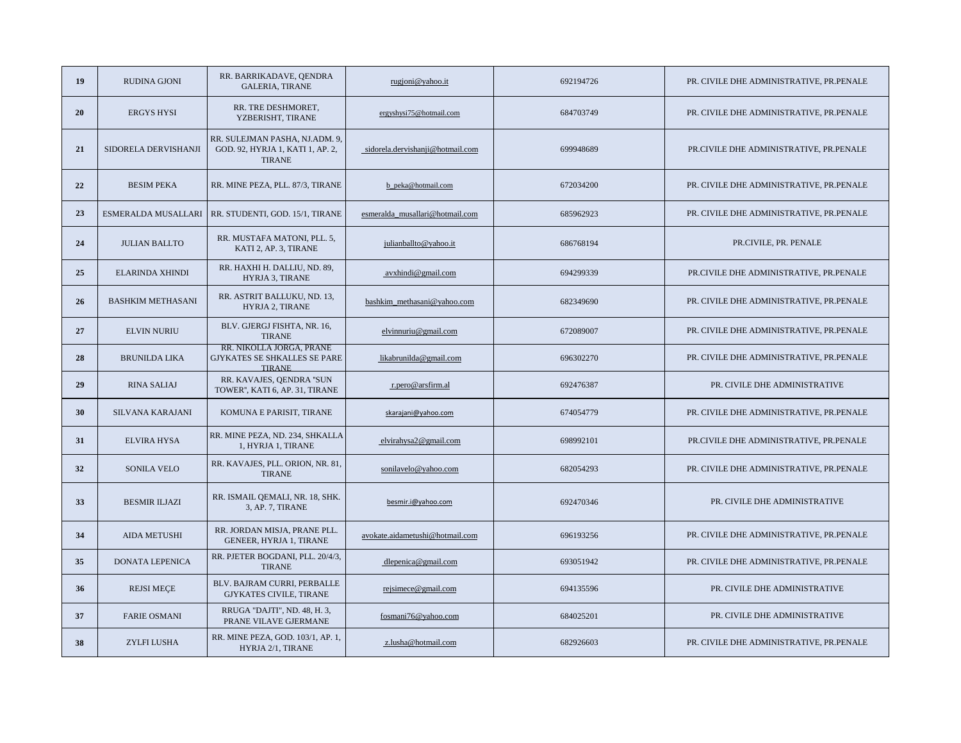| 19 | <b>RUDINA GJONI</b>      | RR. BARRIKADAVE, QENDRA<br><b>GALERIA, TIRANE</b>                                   | rugjoni@yahoo.it                 | 692194726 | PR. CIVILE DHE ADMINISTRATIVE, PR.PENALE |
|----|--------------------------|-------------------------------------------------------------------------------------|----------------------------------|-----------|------------------------------------------|
| 20 | <b>ERGYS HYSI</b>        | RR. TRE DESHMORET,<br>YZBERISHT, TIRANE                                             | ergyshysi75@hotmail.com          | 684703749 | PR. CIVILE DHE ADMINISTRATIVE, PR.PENALE |
| 21 | SIDORELA DERVISHANJI     | RR. SULEJMAN PASHA, NJ.ADM. 9,<br>GOD. 92, HYRJA 1, KATI 1, AP. 2,<br><b>TIRANE</b> | sidorela.dervishanji@hotmail.com | 699948689 | PR.CIVILE DHE ADMINISTRATIVE, PR.PENALE  |
| 22 | <b>BESIM PEKA</b>        | RR. MINE PEZA, PLL. 87/3, TIRANE                                                    | b peka@hotmail.com               | 672034200 | PR. CIVILE DHE ADMINISTRATIVE, PR.PENALE |
| 23 | ESMERALDA MUSALLARI      | RR. STUDENTI, GOD. 15/1, TIRANE                                                     | esmeralda_musallari@hotmail.com  | 685962923 | PR. CIVILE DHE ADMINISTRATIVE, PR.PENALE |
| 24 | <b>JULIAN BALLTO</b>     | RR. MUSTAFA MATONI, PLL. 5,<br>KATI 2, AP. 3, TIRANE                                | julianballto@yahoo.it            | 686768194 | PR.CIVILE, PR. PENALE                    |
| 25 | ELARINDA XHINDI          | RR. HAXHI H. DALLIU, ND. 89,<br><b>HYRJA 3. TIRANE</b>                              | avxhindi@gmail.com               | 694299339 | PR.CIVILE DHE ADMINISTRATIVE, PR.PENALE  |
| 26 | <b>BASHKIM METHASANI</b> | RR. ASTRIT BALLUKU, ND. 13,<br><b>HYRJA 2, TIRANE</b>                               | bashkim_methasani@yahoo.com      | 682349690 | PR. CIVILE DHE ADMINISTRATIVE, PR.PENALE |
| 27 | <b>ELVIN NURIU</b>       | BLV. GJERGJ FISHTA, NR. 16,<br><b>TIRANE</b>                                        | elvinnuriu@gmail.com             | 672089007 | PR. CIVILE DHE ADMINISTRATIVE, PR.PENALE |
| 28 | <b>BRUNILDA LIKA</b>     | RR. NIKOLLA JORGA, PRANE<br>GJYKATES SE SHKALLES SE PARE<br><b>TIRANE</b>           | likabrunilda@gmail.com           | 696302270 | PR. CIVILE DHE ADMINISTRATIVE, PR.PENALE |
| 29 | <b>RINA SALIAJ</b>       | RR. KAVAJES, QENDRA "SUN<br>TOWER", KATI 6, AP. 31, TIRANE                          | r.pero@arsfirm.al                | 692476387 | PR. CIVILE DHE ADMINISTRATIVE            |
| 30 | SILVANA KARAJANI         | KOMUNA E PARISIT, TIRANE                                                            | skarajani@yahoo.com              | 674054779 | PR. CIVILE DHE ADMINISTRATIVE, PR.PENALE |
| 31 | ELVIRA HYSA              | RR. MINE PEZA, ND. 234, SHKALLA<br>1, HYRJA 1, TIRANE                               | elvirahysa2@gmail.com            | 698992101 | PR.CIVILE DHE ADMINISTRATIVE, PR.PENALE  |
| 32 | <b>SONILA VELO</b>       | RR. KAVAJES, PLL. ORION, NR. 81,<br><b>TIRANE</b>                                   | sonilavelo@yahoo.com             | 682054293 | PR. CIVILE DHE ADMINISTRATIVE, PR.PENALE |
| 33 | <b>BESMIR ILJAZI</b>     | RR. ISMAIL QEMALI, NR. 18, SHK.<br>3, AP. 7, TIRANE                                 | besmir.i@yahoo.com               | 692470346 | PR. CIVILE DHE ADMINISTRATIVE            |
| 34 | AIDA METUSHI             | RR. JORDAN MISJA, PRANE PLL.<br>GENEER, HYRJA 1, TIRANE                             | avokate.aidametushi@hotmail.com  | 696193256 | PR. CIVILE DHE ADMINISTRATIVE, PR.PENALE |
| 35 | <b>DONATA LEPENICA</b>   | RR. PJETER BOGDANI, PLL. 20/4/3,<br><b>TIRANE</b>                                   | $d$ lepenica@gmail.com           | 693051942 | PR. CIVILE DHE ADMINISTRATIVE, PR.PENALE |
| 36 | <b>REJSI MECE</b>        | BLV. BAJRAM CURRI, PERBALLE<br><b>GJYKATES CIVILE, TIRANE</b>                       | rejsimece@gmail.com              | 694135596 | PR. CIVILE DHE ADMINISTRATIVE            |
| 37 | <b>FARIE OSMANI</b>      | RRUGA "DAJTI", ND. 48, H. 3,<br>PRANE VILAVE GJERMANE                               | fosmani76@yahoo.com              | 684025201 | PR. CIVILE DHE ADMINISTRATIVE            |
| 38 | ZYLFI LUSHA              | RR. MINE PEZA, GOD. 103/1, AP. 1,<br>HYRJA 2/1, TIRANE                              | z.lusha@hotmail.com              | 682926603 | PR. CIVILE DHE ADMINISTRATIVE, PR.PENALE |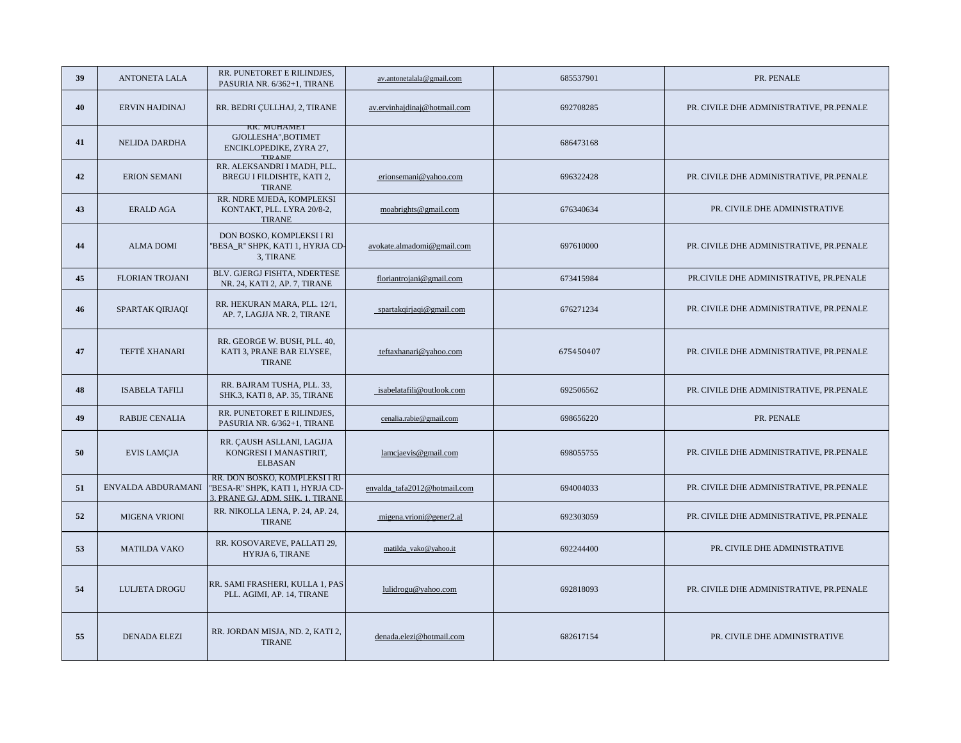| 39 | ANTONETA LALA          | RR. PUNETORET E RILINDJES,<br>PASURIA NR. 6/362+1, TIRANE                                               | av.antonetalala@gmail.com    | 685537901 | PR. PENALE                                |
|----|------------------------|---------------------------------------------------------------------------------------------------------|------------------------------|-----------|-------------------------------------------|
| 40 | ERVIN HAJDINAJ         | RR. BEDRI ÇULLHAJ, 2, TIRANE                                                                            | av.ervinhajdinaj@hotmail.com | 692708285 | PR. CIVILE DHE ADMINISTRATIVE, PR.PENALE  |
| 41 | NELIDA DARDHA          | <b>KK. MUHAMEI</b><br>GJOLLESHA", BOTIMET<br>ENCIKLOPEDIKE, ZYRA 27,<br><b>TID ANE</b>                  |                              | 686473168 |                                           |
| 42 | <b>ERION SEMANI</b>    | RR. ALEKSANDRI I MADH, PLL.<br>BREGU I FILDISHTE, KATI 2,<br><b>TIRANE</b>                              | erionsemani@yahoo.com        | 696322428 | PR. CIVILE DHE ADMINISTRATIVE, PR.PENALE  |
| 43 | <b>ERALD AGA</b>       | RR. NDRE MJEDA, KOMPLEKSI<br>KONTAKT, PLL. LYRA 20/8-2,<br><b>TIRANE</b>                                | moabrights@gmail.com         | 676340634 | PR. CIVILE DHE ADMINISTRATIVE             |
| 44 | <b>ALMA DOMI</b>       | DON BOSKO, KOMPLEKSI I RI<br>"BESA_R" SHPK, KATI 1, HYRJA CD-<br>3, TIRANE                              | avokate.almadomi@gmail.com   | 697610000 | PR. CIVILE DHE ADMINISTRATIVE, PR.PENALE  |
| 45 | <b>FLORIAN TROJANI</b> | BLV. GJERGJ FISHTA, NDERTESE<br>NR. 24, KATI 2, AP. 7, TIRANE                                           | floriantrojani@gmail.com     | 673415984 | PR.CIVILE DHE ADMINISTRATIVE, PR.PENALE   |
| 46 | SPARTAK QIRJAQI        | RR. HEKURAN MARA, PLL. 12/1,<br>AP. 7, LAGJJA NR. 2, TIRANE                                             | spartakqirjaqi@gmail.com     | 676271234 | PR. CIVILE DHE ADMINISTRATIVE, PR.PENALE  |
| 47 | TEFTË XHANARI          | RR. GEORGE W. BUSH, PLL. 40,<br>KATI 3, PRANE BAR ELYSEE,<br><b>TIRANE</b>                              | teftaxhanari@yahoo.com       | 675450407 | PR. CIVILE DHE ADMINISTRATIVE. PR.PENALE  |
| 48 | <b>ISABELA TAFILI</b>  | RR. BAJRAM TUSHA, PLL. 33,<br>SHK.3, KATI 8, AP. 35, TIRANE                                             | isabelatafili@outlook.com    | 692506562 | PR. CIVILE DHE ADMINISTRATIVE, PR. PENALE |
| 49 | <b>RABIJE CENALIA</b>  | RR. PUNETORET E RILINDJES,<br>PASURIA NR. 6/362+1, TIRANE                                               | cenalia.rabie@gmail.com      | 698656220 | PR. PENALE                                |
| 50 | <b>EVIS LAMÇJA</b>     | RR. ÇAUSH ASLLANI, LAGJJA<br>KONGRESI I MANASTIRIT,<br><b>ELBASAN</b>                                   | lamcjaevis@gmail.com         | 698055755 | PR. CIVILE DHE ADMINISTRATIVE, PR.PENALE  |
| 51 | ENVALDA ABDURAMANI     | RR. DON BOSKO, KOMPLEKSI I RI<br>"BESA-R" SHPK, KATI 1, HYRJA CD-<br><b>3 PRANE GL ADM SHK 1 TIRANE</b> | envalda_tafa2012@hotmail.com | 694004033 | PR. CIVILE DHE ADMINISTRATIVE, PR.PENALE  |
| 52 | <b>MIGENA VRIONI</b>   | RR. NIKOLLA LENA, P. 24, AP. 24,<br><b>TIRANE</b>                                                       | migena.vrioni@gener2.al      | 692303059 | PR. CIVILE DHE ADMINISTRATIVE, PR.PENALE  |
| 53 | <b>MATILDA VAKO</b>    | RR. KOSOVAREVE, PALLATI 29,<br>HYRJA 6, TIRANE                                                          | matilda_vako@yahoo.it        | 692244400 | PR. CIVILE DHE ADMINISTRATIVE             |
| 54 | LULJETA DROGU          | RR. SAMI FRASHERI, KULLA 1, PAS<br>PLL. AGIMI, AP. 14, TIRANE                                           | lulidrogu@yahoo.com          | 692818093 | PR. CIVILE DHE ADMINISTRATIVE, PR.PENALE  |
| 55 | DENADA ELEZI           | RR. JORDAN MISJA, ND. 2, KATI 2,<br><b>TIRANE</b>                                                       | denada.elezi@hotmail.com     | 682617154 | PR. CIVILE DHE ADMINISTRATIVE             |